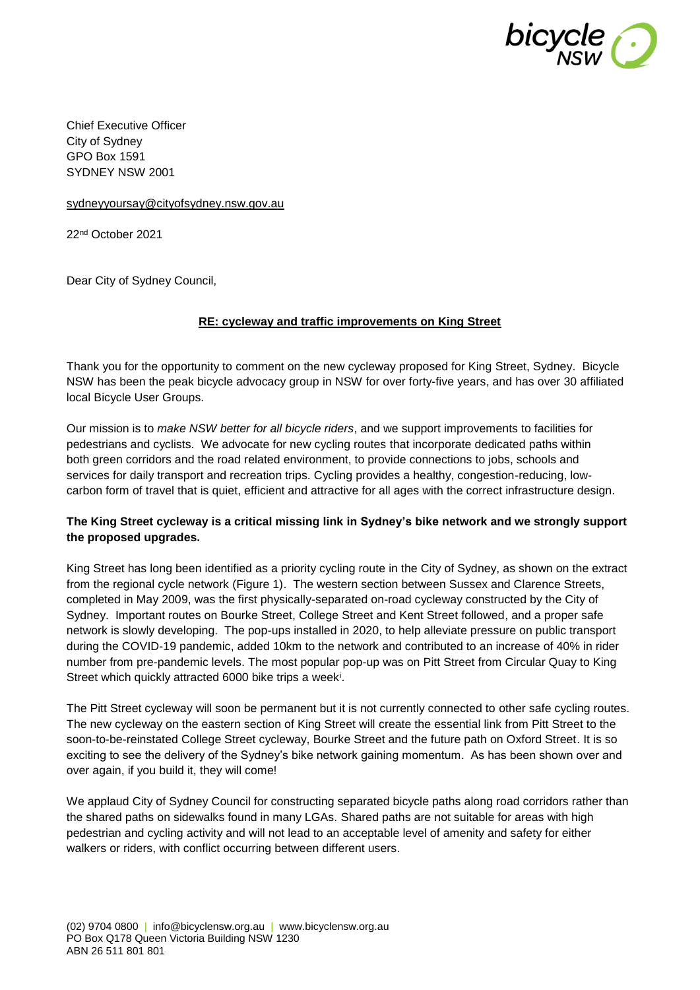

Chief Executive Officer City of Sydney GPO Box 1591 SYDNEY NSW 2001

[sydneyyoursay@cityofsydney.nsw.gov.au](mailto:sydneyyoursay@cityofsydney.nsw.gov.au)

22nd October 2021

Dear City of Sydney Council,

#### **RE: cycleway and traffic improvements on King Street**

Thank you for the opportunity to comment on the new cycleway proposed for King Street, Sydney. Bicycle NSW has been the peak bicycle advocacy group in NSW for over forty-five years, and has over 30 affiliated local Bicycle User Groups.

Our mission is to *make NSW better for all bicycle riders*, and we support improvements to facilities for pedestrians and cyclists. We advocate for new cycling routes that incorporate dedicated paths within both green corridors and the road related environment, to provide connections to jobs, schools and services for daily transport and recreation trips. Cycling provides a healthy, congestion-reducing, lowcarbon form of travel that is quiet, efficient and attractive for all ages with the correct infrastructure design.

#### **The King Street cycleway is a critical missing link in Sydney's bike network and we strongly support the proposed upgrades.**

King Street has long been identified as a priority cycling route in the City of Sydney, as shown on the extract from the regional cycle network (Figure 1). The western section between Sussex and Clarence Streets, completed in May 2009, was the first physically-separated on-road cycleway constructed by the City of Sydney. Important routes on Bourke Street, College Street and Kent Street followed, and a proper safe network is slowly developing. The pop-ups installed in 2020, to help alleviate pressure on public transport during the COVID-19 pandemic, added 10km to the network and contributed to an increase of 40% in rider number from pre-pandemic levels. The most popular pop-up was on Pitt Street from Circular Quay to King Street which quickly attracted 6000 bike trips a week<sup>i</sup>.

The Pitt Street cycleway will soon be permanent but it is not currently connected to other safe cycling routes. The new cycleway on the eastern section of King Street will create the essential link from Pitt Street to the soon-to-be-reinstated College Street cycleway, Bourke Street and the future path on Oxford Street. It is so exciting to see the delivery of the Sydney's bike network gaining momentum. As has been shown over and over again, if you build it, they will come!

We applaud City of Sydney Council for constructing separated bicycle paths along road corridors rather than the shared paths on sidewalks found in many LGAs. Shared paths are not suitable for areas with high pedestrian and cycling activity and will not lead to an acceptable level of amenity and safety for either walkers or riders, with conflict occurring between different users.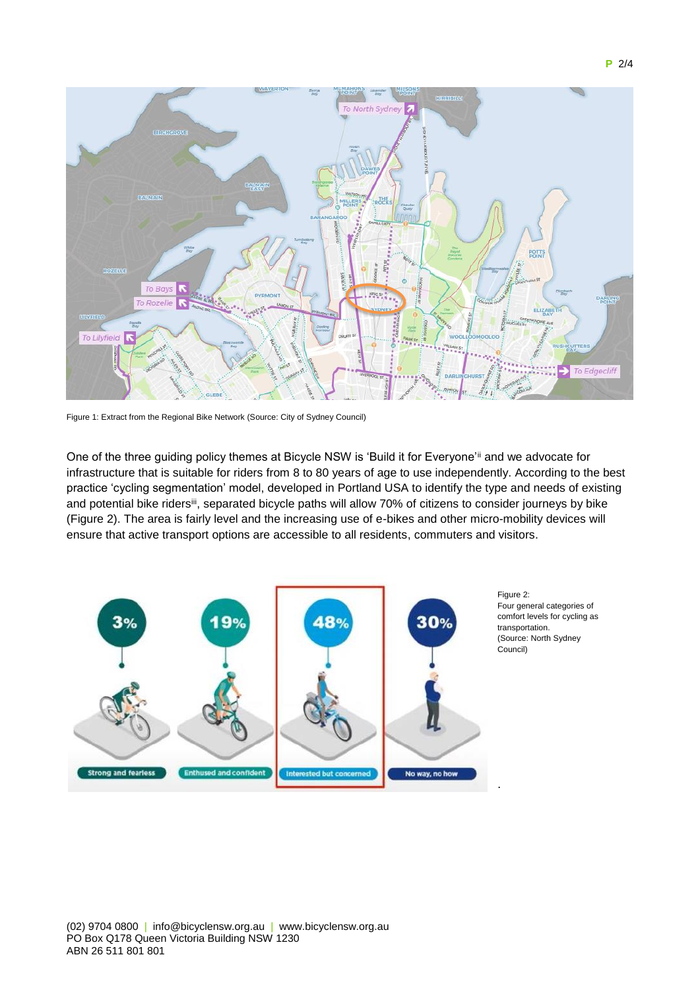



Figure 1: Extract from the Regional Bike Network (Source: City of Sydney Council)

One of the three guiding policy themes at Bicycle NSW is 'Build it for Everyone'ii and we advocate for infrastructure that is suitable for riders from 8 to 80 years of age to use independently. According to the best practice 'cycling segmentation' model, developed in Portland USA to identify the type and needs of existing and potential bike ridersiii, separated bicycle paths will allow 70% of citizens to consider journeys by bike (Figure 2). The area is fairly level and the increasing use of e-bikes and other micro-mobility devices will ensure that active transport options are accessible to all residents, commuters and visitors.



Figure 2: Four general categories of comfort levels for cycling as transportation. (Source: North Sydney Council)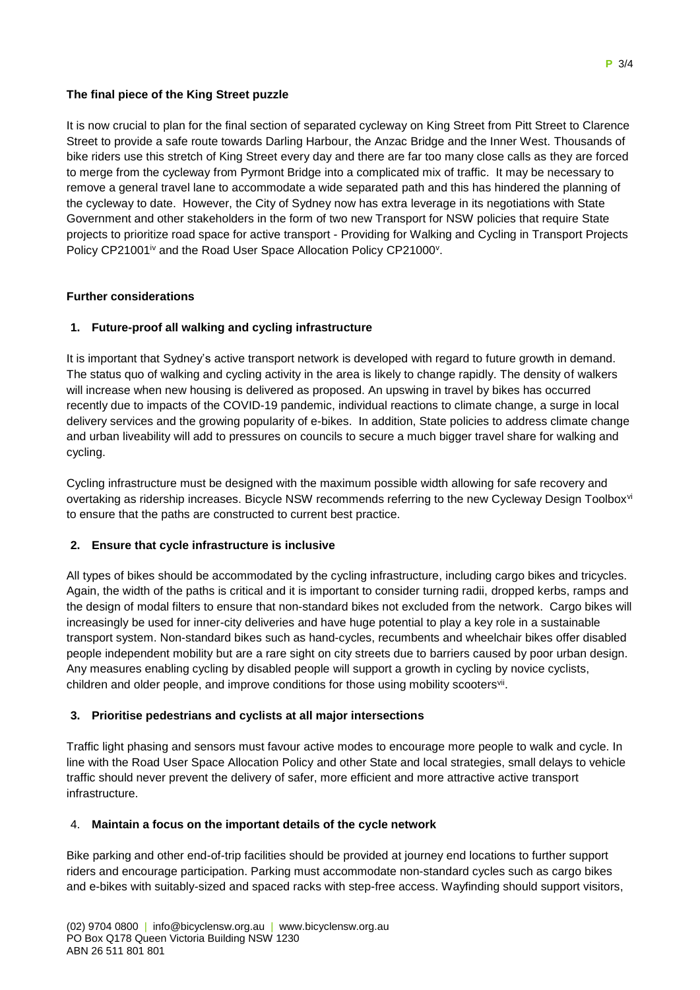# **The final piece of the King Street puzzle**

It is now crucial to plan for the final section of separated cycleway on King Street from Pitt Street to Clarence Street to provide a safe route towards Darling Harbour, the Anzac Bridge and the Inner West. Thousands of bike riders use this stretch of King Street every day and there are far too many close calls as they are forced to merge from the cycleway from Pyrmont Bridge into a complicated mix of traffic. It may be necessary to remove a general travel lane to accommodate a wide separated path and this has hindered the planning of the cycleway to date. However, the City of Sydney now has extra leverage in its negotiations with State Government and other stakeholders in the form of two new Transport for NSW policies that require State projects to prioritize road space for active transport - Providing for Walking and Cycling in Transport Projects Policy CP21001<sup>iv</sup> and the Road User Space Allocation Policy CP21000<sup>v</sup>.

# **Further considerations**

#### **1. Future-proof all walking and cycling infrastructure**

It is important that Sydney's active transport network is developed with regard to future growth in demand. The status quo of walking and cycling activity in the area is likely to change rapidly. The density of walkers will increase when new housing is delivered as proposed. An upswing in travel by bikes has occurred recently due to impacts of the COVID-19 pandemic, individual reactions to climate change, a surge in local delivery services and the growing popularity of e-bikes. In addition, State policies to address climate change and urban liveability will add to pressures on councils to secure a much bigger travel share for walking and cycling.

Cycling infrastructure must be designed with the maximum possible width allowing for safe recovery and overtaking as ridership increases. Bicycle NSW recommends referring to the new Cycleway Design Toolboxvi to ensure that the paths are constructed to current best practice.

#### **2. Ensure that cycle infrastructure is inclusive**

All types of bikes should be accommodated by the cycling infrastructure, including cargo bikes and tricycles. Again, the width of the paths is critical and it is important to consider turning radii, dropped kerbs, ramps and the design of modal filters to ensure that non-standard bikes not excluded from the network. Cargo bikes will increasingly be used for inner-city deliveries and have huge potential to play a key role in a sustainable transport system. Non-standard bikes such as hand-cycles, recumbents and wheelchair bikes offer disabled people independent mobility but are a rare sight on city streets due to barriers caused by poor urban design. Any measures enabling cycling by disabled people will support a growth in cycling by novice cyclists, children and older people, and improve conditions for those using mobility scootersvil.

# **3. Prioritise pedestrians and cyclists at all major intersections**

Traffic light phasing and sensors must favour active modes to encourage more people to walk and cycle. In line with the Road User Space Allocation Policy and other State and local strategies, small delays to vehicle traffic should never prevent the delivery of safer, more efficient and more attractive active transport infrastructure.

#### 4. **Maintain a focus on the important details of the cycle network**

Bike parking and other end-of-trip facilities should be provided at journey end locations to further support riders and encourage participation. Parking must accommodate non-standard cycles such as cargo bikes and e-bikes with suitably-sized and spaced racks with step-free access. Wayfinding should support visitors,